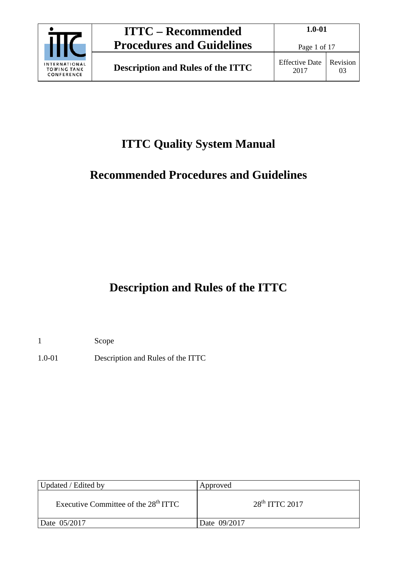

Page 1 of 17

# **ITTC Quality System Manual**

# **Recommended Procedures and Guidelines**

# **Description and Rules of the ITTC**

1 Scope

1.0-01 Description and Rules of the ITTC

| Updated / Edited by                    | Approved         |
|----------------------------------------|------------------|
| Executive Committee of the $28th ITTC$ | $28th$ ITTC 2017 |
| Date 05/2017                           | Date 09/2017     |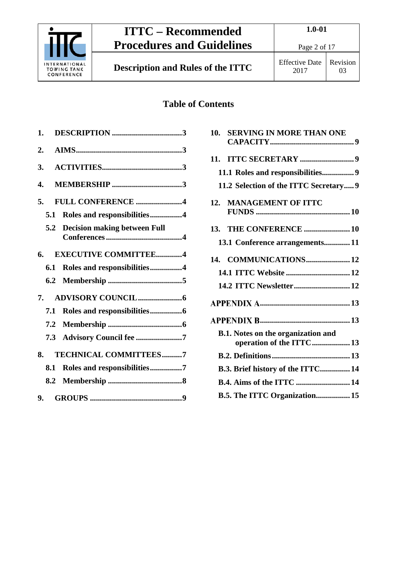

**Description and Rules of the ITTC** Effective Date

Page 2 of 17

2017 Revision 03

## **Table of Contents**

| 1. |     |                                  |  |
|----|-----|----------------------------------|--|
| 2. |     |                                  |  |
| 3. |     |                                  |  |
| 4. |     | <b>MEMBERSHIP</b> 3              |  |
|    | 5.  | FULL CONFERENCE 4                |  |
|    | 5.1 | Roles and responsibilities4      |  |
|    |     | 5.2 Decision making between Full |  |
|    | 6.  | <b>EXECUTIVE COMMITTEE4</b>      |  |
|    | 6.1 | Roles and responsibilities4      |  |
|    |     |                                  |  |
|    | 7.  |                                  |  |
|    | 7.1 |                                  |  |
|    |     |                                  |  |
|    | 7.3 | Advisory Council fee 7           |  |
|    | 8.  | <b>TECHNICAL COMMITTEES7</b>     |  |
|    | 8.1 | Roles and responsibilities7      |  |
|    |     |                                  |  |
|    |     |                                  |  |

| 10. SERVING IN MORE THAN ONE           |
|----------------------------------------|
|                                        |
| 11.1 Roles and responsibilities 9      |
| 11.2 Selection of the ITTC Secretary 9 |
|                                        |
| 13. THE CONFERENCE  10                 |
| 13.1 Conference arrangements11         |
| 14. COMMUNICATIONS 12                  |
| 14.1 ITTC Website  12                  |
| 14.2 ITTC Newsletter 12                |
|                                        |
|                                        |
| operation of the ITTC  13              |
|                                        |
| B.3. Brief history of the ITTC 14      |
| <b>B.4. Aims of the ITTC  14</b>       |
| B.5. The ITTC Organization 15          |
|                                        |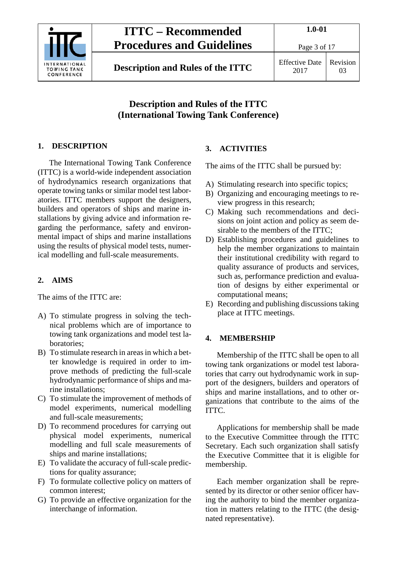

**Description and Rules of the ITTC** Effective Date

Page 3 of 17

2017 Revision 03

## **Description and Rules of the ITTC (International Towing Tank Conference)**

## <span id="page-2-0"></span>**1. DESCRIPTION**

The International Towing Tank Conference (ITTC) is a world-wide independent association of hydrodynamics research organizations that operate towing tanks or similar model test laboratories. ITTC members support the designers, builders and operators of ships and marine installations by giving advice and information regarding the performance, safety and environmental impact of ships and marine installations using the results of physical model tests, numerical modelling and full-scale measurements.

## <span id="page-2-1"></span>**2. AIMS**

The aims of the ITTC are:

- A) To stimulate progress in solving the technical problems which are of importance to towing tank organizations and model test laboratories;
- B) To stimulate research in areas in which a better knowledge is required in order to improve methods of predicting the full-scale hydrodynamic performance of ships and marine installations;
- C) To stimulate the improvement of methods of model experiments, numerical modelling and full-scale measurements;
- D) To recommend procedures for carrying out physical model experiments, numerical modelling and full scale measurements of ships and marine installations;
- E) To validate the accuracy of full-scale predictions for quality assurance;
- F) To formulate collective policy on matters of common interest;
- G) To provide an effective organization for the interchange of information.

## <span id="page-2-2"></span>**3. ACTIVITIES**

The aims of the ITTC shall be pursued by:

- A) Stimulating research into specific topics;
- B) Organizing and encouraging meetings to review progress in this research;
- C) Making such recommendations and decisions on joint action and policy as seem desirable to the members of the ITTC;
- D) Establishing procedures and guidelines to help the member organizations to maintain their institutional credibility with regard to quality assurance of products and services, such as, performance prediction and evaluation of designs by either experimental or computational means;
- E) Recording and publishing discussions taking place at ITTC meetings.

### <span id="page-2-3"></span>**4. MEMBERSHIP**

Membership of the ITTC shall be open to all towing tank organizations or model test laboratories that carry out hydrodynamic work in support of the designers, builders and operators of ships and marine installations, and to other organizations that contribute to the aims of the ITTC.

Applications for membership shall be made to the Executive Committee through the ITTC Secretary. Each such organization shall satisfy the Executive Committee that it is eligible for membership.

Each member organization shall be represented by its director or other senior officer having the authority to bind the member organization in matters relating to the ITTC (the designated representative).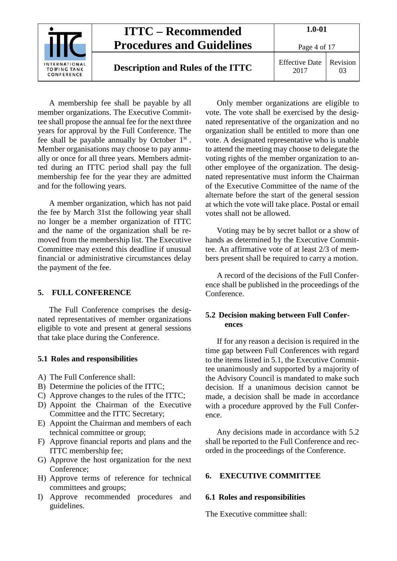

A membership fee shall be payable by all member organizations. The Executive Committee shall propose the annual fee for the next three years for approval by the Full Conference. The fee shall be payable annually by October 1st . Member organisations may choose to pay annually or once for all three years. Members admitted during an ITTC period shall pay the full membership fee for the year they are admitted and for the following years.

A member organization, which has not paid the fee by March 31st the following year shall no longer be a member organization of ITTC and the name of the organization shall be removed from the membership list. The Executive Committee may extend this deadline if unusual financial or administrative circumstances delay the payment of the fee.

#### <span id="page-3-0"></span>**5. FULL CONFERENCE**

The Full Conference comprises the designated representatives of member organizations eligible to vote and present at general sessions that take place during the Conference.

#### <span id="page-3-1"></span>**5.1 Roles and responsibilities**

- A) The Full Conference shall:
- B) Determine the policies of the ITTC;
- C) Approve changes to the rules of the ITTC;
- D) Appoint the Chairman of the Executive Committee and the ITTC Secretary;
- E) Appoint the Chairman and members of each technical committee or group;
- F) Approve financial reports and plans and the ITTC membership fee;
- G) Approve the host organization for the next Conference;
- H) Approve terms of reference for technical committees and groups;
- I) Approve recommended procedures and guidelines.

Only member organizations are eligible to vote. The vote shall be exercised by the designated representative of the organization and no organization shall be entitled to more than one vote. A designated representative who is unable to attend the meeting may choose to delegate the voting rights of the member organization to another employee of the organization. The designated representative must inform the Chairman of the Executive Committee of the name of the alternate before the start of the general session at which the vote will take place. Postal or email votes shall not be allowed.

Voting may be by secret ballot or a show of hands as determined by the Executive Committee. An affirmative vote of at least 2/3 of members present shall be required to carry a motion.

A record of the decisions of the Full Conference shall be published in the proceedings of the Conference.

#### <span id="page-3-2"></span>**5.2 Decision making between Full Conferences**

If for any reason a decision is required in the time gap between Full Conferences with regard to the items listed in 5.1, the Executive Committee unanimously and supported by a majority of the Advisory Council is mandated to make such decision. If a unanimous decision cannot be made, a decision shall be made in accordance with a procedure approved by the Full Conference.

Any decisions made in accordance with 5.2 shall be reported to the Full Conference and recorded in the proceedings of the Conference.

#### <span id="page-3-4"></span><span id="page-3-3"></span>**6. EXECUTIVE COMMITTEE**

#### **6.1 Roles and responsibilities**

The Executive committee shall: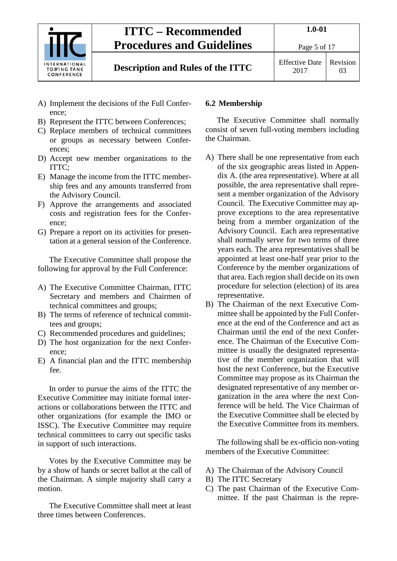

## **Description and Rules of the ITTC** Effective Date

Page 5 of 17

2017 Revision 03

- A) Implement the decisions of the Full Conference;
- B) Represent the ITTC between Conferences;
- C) Replace members of technical committees or groups as necessary between Conferences;
- D) Accept new member organizations to the ITTC;
- E) Manage the income from the ITTC membership fees and any amounts transferred from the Advisory Council.
- F) Approve the arrangements and associated costs and registration fees for the Conference;
- G) Prepare a report on its activities for presentation at a general session of the Conference.

The Executive Committee shall propose the following for approval by the Full Conference:

- A) The Executive Committee Chairman, ITTC Secretary and members and Chairmen of technical committees and groups;
- B) The terms of reference of technical committees and groups;
- C) Recommended procedures and guidelines;
- D) The host organization for the next Conference;
- E) A financial plan and the ITTC membership fee.

In order to pursue the aims of the ITTC the Executive Committee may initiate formal interactions or collaborations between the ITTC and other organizations (for example the IMO or ISSC). The Executive Committee may require technical committees to carry out specific tasks in support of such interactions.

Votes by the Executive Committee may be by a show of hands or secret ballot at the call of the Chairman. A simple majority shall carry a motion.

The Executive Committee shall meet at least three times between Conferences.

## <span id="page-4-0"></span>**6.2 Membership**

The Executive Committee shall normally consist of seven full-voting members including the Chairman.

- A) There shall be one representative from each of the six geographic areas listed in Appendix A. (the area representative). Where at all possible, the area representative shall represent a member organization of the Advisory Council. The Executive Committee may approve exceptions to the area representative being from a member organization of the Advisory Council. Each area representative shall normally serve for two terms of three years each. The area representatives shall be appointed at least one-half year prior to the Conference by the member organizations of that area. Each region shall decide on its own procedure for selection (election) of its area representative.
- B) The Chairman of the next Executive Committee shall be appointed by the Full Conference at the end of the Conference and act as Chairman until the end of the next Conference. The Chairman of the Executive Committee is usually the designated representative of the member organization that will host the next Conference, but the Executive Committee may propose as its Chairman the designated representative of any member organization in the area where the next Conference will be held. The Vice Chairman of the Executive Committee shall be elected by the Executive Committee from its members.

The following shall be ex-officio non-voting members of the Executive Committee:

- A) The Chairman of the Advisory Council
- B) The ITTC Secretary
- C) The past Chairman of the Executive Committee. If the past Chairman is the repre-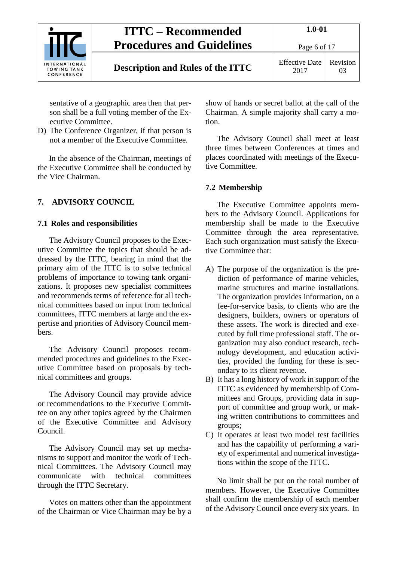

Page 6 of 17

sentative of a geographic area then that person shall be a full voting member of the Executive Committee.

D) The Conference Organizer, if that person is not a member of the Executive Committee.

In the absence of the Chairman, meetings of the Executive Committee shall be conducted by the Vice Chairman.

## <span id="page-5-1"></span><span id="page-5-0"></span>**7. ADVISORY COUNCIL**

### **7.1 Roles and responsibilities**

The Advisory Council proposes to the Executive Committee the topics that should be addressed by the ITTC, bearing in mind that the primary aim of the ITTC is to solve technical problems of importance to towing tank organizations. It proposes new specialist committees and recommends terms of reference for all technical committees based on input from technical committees, ITTC members at large and the expertise and priorities of Advisory Council members.

The Advisory Council proposes recommended procedures and guidelines to the Executive Committee based on proposals by technical committees and groups.

The Advisory Council may provide advice or recommendations to the Executive Committee on any other topics agreed by the Chairmen of the Executive Committee and Advisory Council.

The Advisory Council may set up mechanisms to support and monitor the work of Technical Committees. The Advisory Council may communicate with technical committees through the ITTC Secretary.

Votes on matters other than the appointment of the Chairman or Vice Chairman may be by a show of hands or secret ballot at the call of the Chairman. A simple majority shall carry a motion.

The Advisory Council shall meet at least three times between Conferences at times and places coordinated with meetings of the Executive Committee.

## <span id="page-5-2"></span>**7.2 Membership**

The Executive Committee appoints members to the Advisory Council. Applications for membership shall be made to the Executive Committee through the area representative. Each such organization must satisfy the Executive Committee that:

- A) The purpose of the organization is the prediction of performance of marine vehicles, marine structures and marine installations. The organization provides information, on a fee-for-service basis, to clients who are the designers, builders, owners or operators of these assets. The work is directed and executed by full time professional staff. The organization may also conduct research, technology development, and education activities, provided the funding for these is secondary to its client revenue.
- B) It has a long history of work in support of the ITTC as evidenced by membership of Committees and Groups, providing data in support of committee and group work, or making written contributions to committees and groups;
- C) It operates at least two model test facilities and has the capability of performing a variety of experimental and numerical investigations within the scope of the ITTC.

No limit shall be put on the total number of members. However, the Executive Committee shall confirm the membership of each member of the Advisory Council once every six years. In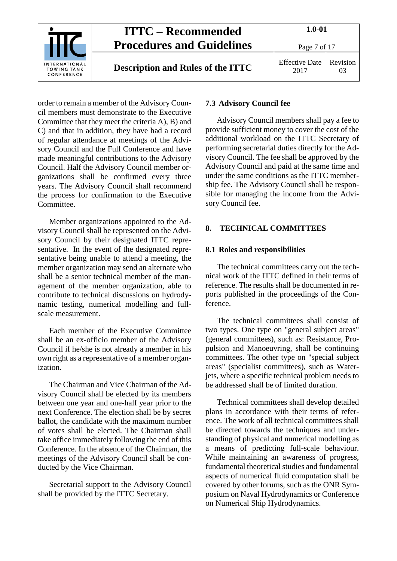

order to remain a member of the Advisory Council members must demonstrate to the Executive Committee that they meet the criteria A), B) and C) and that in addition, they have had a record of regular attendance at meetings of the Advisory Council and the Full Conference and have made meaningful contributions to the Advisory Council. Half the Advisory Council member organizations shall be confirmed every three years. The Advisory Council shall recommend the process for confirmation to the Executive Committee.

Member organizations appointed to the Advisory Council shall be represented on the Advisory Council by their designated ITTC representative. In the event of the designated representative being unable to attend a meeting, the member organization may send an alternate who shall be a senior technical member of the management of the member organization, able to contribute to technical discussions on hydrodynamic testing, numerical modelling and fullscale measurement.

Each member of the Executive Committee shall be an ex-officio member of the Advisory Council if he/she is not already a member in his own right as a representative of a member organization.

The Chairman and Vice Chairman of the Advisory Council shall be elected by its members between one year and one-half year prior to the next Conference. The election shall be by secret ballot, the candidate with the maximum number of votes shall be elected. The Chairman shall take office immediately following the end of this Conference. In the absence of the Chairman, the meetings of the Advisory Council shall be conducted by the Vice Chairman.

Secretarial support to the Advisory Council shall be provided by the ITTC Secretary.

#### <span id="page-6-0"></span>**7.3 Advisory Council fee**

Advisory Council members shall pay a fee to provide sufficient money to cover the cost of the additional workload on the ITTC Secretary of performing secretarial duties directly for the Advisory Council. The fee shall be approved by the Advisory Council and paid at the same time and under the same conditions as the ITTC membership fee. The Advisory Council shall be responsible for managing the income from the Advisory Council fee.

#### <span id="page-6-2"></span><span id="page-6-1"></span>**8. TECHNICAL COMMITTEES**

#### **8.1 Roles and responsibilities**

The technical committees carry out the technical work of the ITTC defined in their terms of reference. The results shall be documented in reports published in the proceedings of the Conference.

The technical committees shall consist of two types. One type on "general subject areas" (general committees), such as: Resistance, Propulsion and Manoeuvring, shall be continuing committees. The other type on "special subject areas" (specialist committees), such as Waterjets, where a specific technical problem needs to be addressed shall be of limited duration.

Technical committees shall develop detailed plans in accordance with their terms of reference. The work of all technical committees shall be directed towards the techniques and understanding of physical and numerical modelling as a means of predicting full-scale behaviour. While maintaining an awareness of progress, fundamental theoretical studies and fundamental aspects of numerical fluid computation shall be covered by other forums, such as the ONR Symposium on Naval Hydrodynamics or Conference on Numerical Ship Hydrodynamics.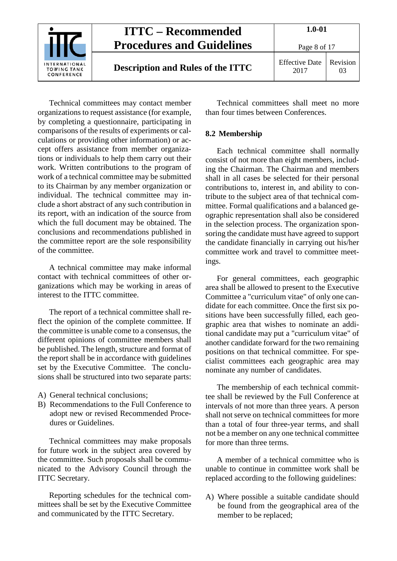

Technical committees may contact member organizations to request assistance (for example, by completing a questionnaire, participating in comparisons of the results of experiments or calculations or providing other information) or accept offers assistance from member organizations or individuals to help them carry out their work. Written contributions to the program of work of a technical committee may be submitted to its Chairman by any member organization or individual. The technical committee may include a short abstract of any such contribution in its report, with an indication of the source from which the full document may be obtained. The conclusions and recommendations published in the committee report are the sole responsibility of the committee.

A technical committee may make informal contact with technical committees of other organizations which may be working in areas of interest to the ITTC committee.

The report of a technical committee shall reflect the opinion of the complete committee. If the committee is unable come to a consensus, the different opinions of committee members shall be published. The length, structure and format of the report shall be in accordance with guidelines set by the Executive Committee. The conclusions shall be structured into two separate parts:

- A) General technical conclusions;
- B) Recommendations to the Full Conference to adopt new or revised Recommended Procedures or Guidelines.

Technical committees may make proposals for future work in the subject area covered by the committee. Such proposals shall be communicated to the Advisory Council through the ITTC Secretary.

Reporting schedules for the technical committees shall be set by the Executive Committee and communicated by the ITTC Secretary.

Technical committees shall meet no more than four times between Conferences.

### <span id="page-7-0"></span>**8.2 Membership**

Each technical committee shall normally consist of not more than eight members, including the Chairman. The Chairman and members shall in all cases be selected for their personal contributions to, interest in, and ability to contribute to the subject area of that technical committee. Formal qualifications and a balanced geographic representation shall also be considered in the selection process. The organization sponsoring the candidate must have agreed to support the candidate financially in carrying out his/her committee work and travel to committee meetings.

For general committees, each geographic area shall be allowed to present to the Executive Committee a "curriculum vitae" of only one candidate for each committee. Once the first six positions have been successfully filled, each geographic area that wishes to nominate an additional candidate may put a "curriculum vitae" of another candidate forward for the two remaining positions on that technical committee. For specialist committees each geographic area may nominate any number of candidates.

The membership of each technical committee shall be reviewed by the Full Conference at intervals of not more than three years. A person shall not serve on technical committees for more than a total of four three-year terms, and shall not be a member on any one technical committee for more than three terms.

A member of a technical committee who is unable to continue in committee work shall be replaced according to the following guidelines:

A) Where possible a suitable candidate should be found from the geographical area of the member to be replaced;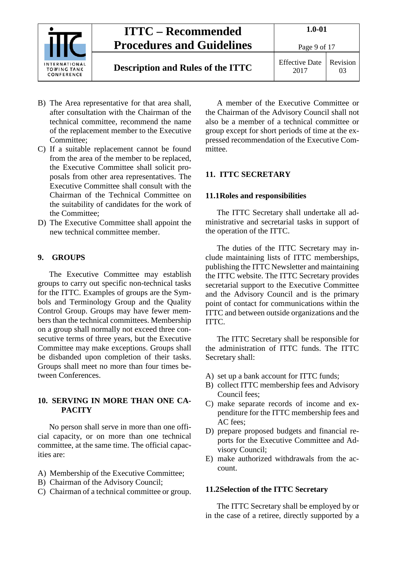

- B) The Area representative for that area shall, after consultation with the Chairman of the technical committee, recommend the name of the replacement member to the Executive Committee;
- C) If a suitable replacement cannot be found from the area of the member to be replaced, the Executive Committee shall solicit proposals from other area representatives. The Executive Committee shall consult with the Chairman of the Technical Committee on the suitability of candidates for the work of the Committee;
- D) The Executive Committee shall appoint the new technical committee member.

## <span id="page-8-0"></span>**9. GROUPS**

The Executive Committee may establish groups to carry out specific non-technical tasks for the ITTC. Examples of groups are the Symbols and Terminology Group and the Quality Control Group. Groups may have fewer members than the technical committees. Membership on a group shall normally not exceed three consecutive terms of three years, but the Executive Committee may make exceptions. Groups shall be disbanded upon completion of their tasks. Groups shall meet no more than four times between Conferences.

### <span id="page-8-1"></span>**10. SERVING IN MORE THAN ONE CA-PACITY**

No person shall serve in more than one official capacity, or on more than one technical committee, at the same time. The official capacities are:

- A) Membership of the Executive Committee;
- B) Chairman of the Advisory Council;
- C) Chairman of a technical committee or group.

A member of the Executive Committee or the Chairman of the Advisory Council shall not also be a member of a technical committee or group except for short periods of time at the expressed recommendation of the Executive Committee.

## <span id="page-8-3"></span><span id="page-8-2"></span>**11. ITTC SECRETARY**

### **11.1Roles and responsibilities**

The ITTC Secretary shall undertake all administrative and secretarial tasks in support of the operation of the ITTC.

The duties of the ITTC Secretary may include maintaining lists of ITTC memberships, publishing the ITTC Newsletter and maintaining the ITTC website. The ITTC Secretary provides secretarial support to the Executive Committee and the Advisory Council and is the primary point of contact for communications within the ITTC and between outside organizations and the ITTC.

The ITTC Secretary shall be responsible for the administration of ITTC funds. The ITTC Secretary shall:

- A) set up a bank account for ITTC funds;
- B) collect ITTC membership fees and Advisory Council fees;
- C) make separate records of income and expenditure for the ITTC membership fees and AC fees;
- D) prepare proposed budgets and financial reports for the Executive Committee and Advisory Council;
- E) make authorized withdrawals from the account.

### <span id="page-8-4"></span>**11.2Selection of the ITTC Secretary**

The ITTC Secretary shall be employed by or in the case of a retiree, directly supported by a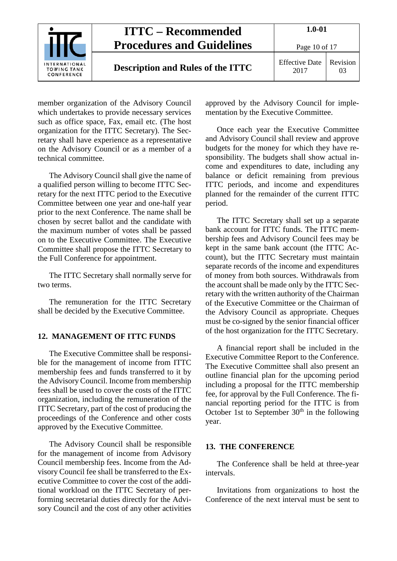

member organization of the Advisory Council which undertakes to provide necessary services such as office space, Fax, email etc. (The host organization for the ITTC Secretary). The Secretary shall have experience as a representative on the Advisory Council or as a member of a technical committee.

The Advisory Council shall give the name of a qualified person willing to become ITTC Secretary for the next ITTC period to the Executive Committee between one year and one-half year prior to the next Conference. The name shall be chosen by secret ballot and the candidate with the maximum number of votes shall be passed on to the Executive Committee. The Executive Committee shall propose the ITTC Secretary to the Full Conference for appointment.

The ITTC Secretary shall normally serve for two terms.

<span id="page-9-0"></span>The remuneration for the ITTC Secretary shall be decided by the Executive Committee.

#### **12. MANAGEMENT OF ITTC FUNDS**

The Executive Committee shall be responsible for the management of income from ITTC membership fees and funds transferred to it by the Advisory Council. Income from membership fees shall be used to cover the costs of the ITTC organization, including the remuneration of the ITTC Secretary, part of the cost of producing the proceedings of the Conference and other costs approved by the Executive Committee.

The Advisory Council shall be responsible for the management of income from Advisory Council membership fees. Income from the Advisory Council fee shall be transferred to the Executive Committee to cover the cost of the additional workload on the ITTC Secretary of performing secretarial duties directly for the Advisory Council and the cost of any other activities approved by the Advisory Council for implementation by the Executive Committee.

Once each year the Executive Committee and Advisory Council shall review and approve budgets for the money for which they have responsibility. The budgets shall show actual income and expenditures to date, including any balance or deficit remaining from previous ITTC periods, and income and expenditures planned for the remainder of the current ITTC period.

The ITTC Secretary shall set up a separate bank account for ITTC funds. The ITTC membership fees and Advisory Council fees may be kept in the same bank account (the ITTC Account), but the ITTC Secretary must maintain separate records of the income and expenditures of money from both sources. Withdrawals from the account shall be made only by the ITTC Secretary with the written authority of the Chairman of the Executive Committee or the Chairman of the Advisory Council as appropriate. Cheques must be co-signed by the senior financial officer of the host organization for the ITTC Secretary.

A financial report shall be included in the Executive Committee Report to the Conference. The Executive Committee shall also present an outline financial plan for the upcoming period including a proposal for the ITTC membership fee, for approval by the Full Conference. The financial reporting period for the ITTC is from October 1st to September  $30<sup>th</sup>$  in the following year.

#### <span id="page-9-1"></span>**13. THE CONFERENCE**

The Conference shall be held at three-year intervals.

Invitations from organizations to host the Conference of the next interval must be sent to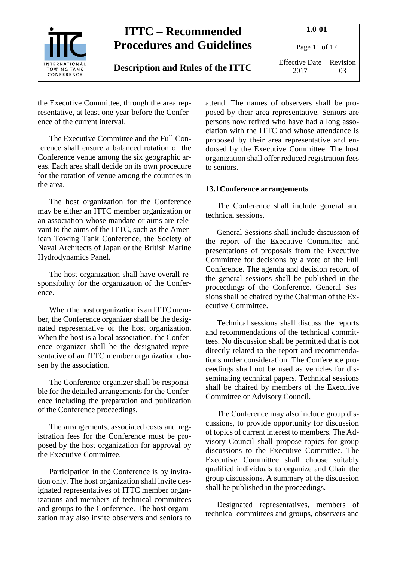

Page 11 of 17

## **Description and Rules of the ITTC** Effective Date

2017 Revision 03

the Executive Committee, through the area representative, at least one year before the Conference of the current interval.

The Executive Committee and the Full Conference shall ensure a balanced rotation of the Conference venue among the six geographic areas. Each area shall decide on its own procedure for the rotation of venue among the countries in the area.

The host organization for the Conference may be either an ITTC member organization or an association whose mandate or aims are relevant to the aims of the ITTC, such as the American Towing Tank Conference, the Society of Naval Architects of Japan or the British Marine Hydrodynamics Panel.

The host organization shall have overall responsibility for the organization of the Conference.

When the host organization is an ITTC member, the Conference organizer shall be the designated representative of the host organization. When the host is a local association, the Conference organizer shall be the designated representative of an ITTC member organization chosen by the association.

The Conference organizer shall be responsible for the detailed arrangements for the Conference including the preparation and publication of the Conference proceedings.

The arrangements, associated costs and registration fees for the Conference must be proposed by the host organization for approval by the Executive Committee.

Participation in the Conference is by invitation only. The host organization shall invite designated representatives of ITTC member organizations and members of technical committees and groups to the Conference. The host organization may also invite observers and seniors to attend. The names of observers shall be proposed by their area representative. Seniors are persons now retired who have had a long association with the ITTC and whose attendance is proposed by their area representative and endorsed by the Executive Committee. The host organization shall offer reduced registration fees to seniors.

### <span id="page-10-0"></span>**13.1Conference arrangements**

The Conference shall include general and technical sessions.

General Sessions shall include discussion of the report of the Executive Committee and presentations of proposals from the Executive Committee for decisions by a vote of the Full Conference. The agenda and decision record of the general sessions shall be published in the proceedings of the Conference. General Sessions shall be chaired by the Chairman of the Executive Committee.

Technical sessions shall discuss the reports and recommendations of the technical committees. No discussion shall be permitted that is not directly related to the report and recommendations under consideration. The Conference proceedings shall not be used as vehicles for disseminating technical papers. Technical sessions shall be chaired by members of the Executive Committee or Advisory Council.

The Conference may also include group discussions, to provide opportunity for discussion of topics of current interest to members. The Advisory Council shall propose topics for group discussions to the Executive Committee. The Executive Committee shall choose suitably qualified individuals to organize and Chair the group discussions. A summary of the discussion shall be published in the proceedings.

Designated representatives, members of technical committees and groups, observers and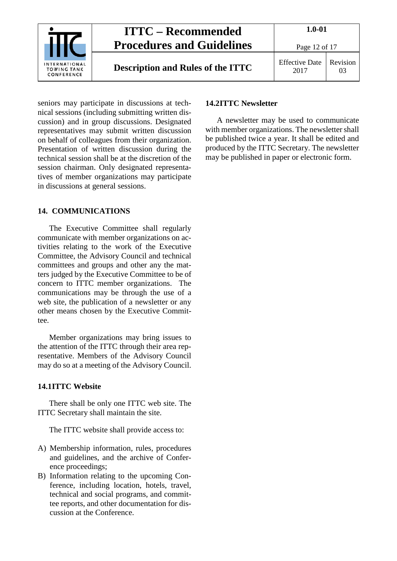

## **Description and Rules of the ITTC** Effective Date

Page 12 of 17

2017 Revision 03

seniors may participate in discussions at technical sessions (including submitting written discussion) and in group discussions. Designated representatives may submit written discussion on behalf of colleagues from their organization. Presentation of written discussion during the technical session shall be at the discretion of the session chairman. Only designated representatives of member organizations may participate in discussions at general sessions.

## <span id="page-11-0"></span>**14. COMMUNICATIONS**

The Executive Committee shall regularly communicate with member organizations on activities relating to the work of the Executive Committee, the Advisory Council and technical committees and groups and other any the matters judged by the Executive Committee to be of concern to ITTC member organizations. The communications may be through the use of a web site, the publication of a newsletter or any other means chosen by the Executive Committee.

Member organizations may bring issues to the attention of the ITTC through their area representative. Members of the Advisory Council may do so at a meeting of the Advisory Council.

## <span id="page-11-1"></span>**14.1ITTC Website**

There shall be only one ITTC web site. The ITTC Secretary shall maintain the site.

The ITTC website shall provide access to:

- A) Membership information, rules, procedures and guidelines, and the archive of Conference proceedings;
- B) Information relating to the upcoming Conference, including location, hotels, travel, technical and social programs, and committee reports, and other documentation for discussion at the Conference.

## <span id="page-11-2"></span>**14.2ITTC Newsletter**

A newsletter may be used to communicate with member organizations. The newsletter shall be published twice a year. It shall be edited and produced by the ITTC Secretary. The newsletter may be published in paper or electronic form.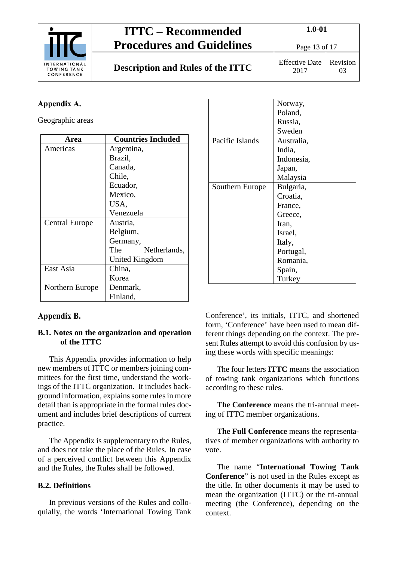

# **ITTC – Recommended Procedures and Guidelines Description and Rules of the ITTC** Effective Date

**1.0-01**

2017

Revision 03

## <span id="page-12-0"></span>Appendix A.

Geographic areas

| Area                  | <b>Countries Included</b> |
|-----------------------|---------------------------|
| Americas              | Argentina,                |
|                       | Brazil,                   |
|                       | Canada,                   |
|                       | Chile,                    |
|                       | Ecuador,                  |
|                       | Mexico,                   |
|                       | USA,                      |
|                       | Venezuela                 |
| <b>Central Europe</b> | Austria,                  |
|                       | Belgium,                  |
|                       | Germany,                  |
|                       | The<br>Netherlands,       |
|                       | United Kingdom            |
| East Asia             | China,                    |
|                       | Korea                     |
| Northern Europe       | Denmark,                  |
|                       | Finland,                  |

## <span id="page-12-1"></span>Appendix B.

### <span id="page-12-2"></span>**B.1. Notes on the organization and operation of the ITTC**

This Appendix provides information to help new members of ITTC or members joining committees for the first time, understand the workings of the ITTC organization. It includes background information, explains some rules in more detail than is appropriate in the formal rules document and includes brief descriptions of current practice.

The Appendix is supplementary to the Rules, and does not take the place of the Rules. In case of a perceived conflict between this Appendix and the Rules, the Rules shall be followed.

## <span id="page-12-3"></span>**B.2. Definitions**

In previous versions of the Rules and colloquially, the words 'International Towing Tank

|                 | Norway,    |
|-----------------|------------|
|                 | Poland,    |
|                 | Russia,    |
|                 | Sweden     |
| Pacific Islands | Australia, |
|                 | India,     |
|                 | Indonesia, |
|                 | Japan,     |
|                 | Malaysia   |
| Southern Europe | Bulgaria,  |
|                 | Croatia,   |
|                 | France,    |
|                 | Greece,    |
|                 | Iran,      |
|                 | Israel,    |
|                 | Italy,     |
|                 | Portugal,  |
|                 | Romania,   |
|                 | Spain,     |
|                 | Turkey     |

Conference', its initials, ITTC, and shortened form, 'Conference' have been used to mean different things depending on the context. The present Rules attempt to avoid this confusion by using these words with specific meanings:

The four letters **ITTC** means the association of towing tank organizations which functions according to these rules.

**The Conference** means the tri-annual meeting of ITTC member organizations.

**The Full Conference** means the representatives of member organizations with authority to vote.

The name "**International Towing Tank Conference**" is not used in the Rules except as the title. In other documents it may be used to mean the organization (ITTC) or the tri-annual meeting (the Conference), depending on the context.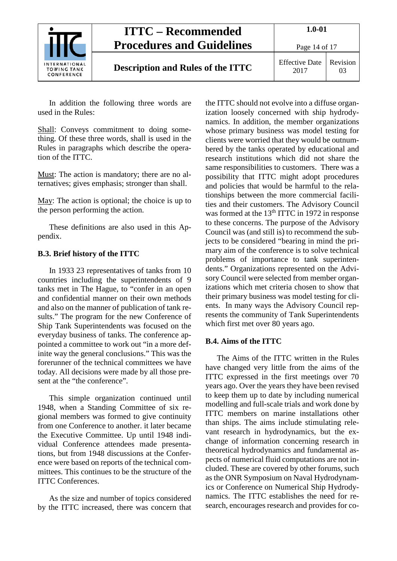

## **Description and Rules of the ITTC** Effective Date

2017 Revision 03

Page 14 of 17

In addition the following three words are used in the Rules:

Shall: Conveys commitment to doing something. Of these three words, shall is used in the Rules in paragraphs which describe the operation of the ITTC.

Must: The action is mandatory; there are no alternatives; gives emphasis; stronger than shall.

May: The action is optional; the choice is up to the person performing the action.

These definitions are also used in this Appendix.

## <span id="page-13-0"></span>**B.3. Brief history of the ITTC**

In 1933 23 representatives of tanks from 10 countries including the superintendents of 9 tanks met in The Hague, to "confer in an open and confidential manner on their own methods and also on the manner of publication of tank results." The program for the new Conference of Ship Tank Superintendents was focused on the everyday business of tanks. The conference appointed a committee to work out "in a more definite way the general conclusions." This was the forerunner of the technical committees we have today. All decisions were made by all those present at the "the conference".

This simple organization continued until 1948, when a Standing Committee of six regional members was formed to give continuity from one Conference to another. it later became the Executive Committee. Up until 1948 individual Conference attendees made presentations, but from 1948 discussions at the Conference were based on reports of the technical committees. This continues to be the structure of the ITTC Conferences.

As the size and number of topics considered by the ITTC increased, there was concern that

the ITTC should not evolve into a diffuse organization loosely concerned with ship hydrodynamics. In addition, the member organizations whose primary business was model testing for clients were worried that they would be outnumbered by the tanks operated by educational and research institutions which did not share the same responsibilities to customers. There was a possibility that ITTC might adopt procedures and policies that would be harmful to the relationships between the more commercial facilities and their customers. The Advisory Council was formed at the 13<sup>th</sup> ITTC in 1972 in response to these concerns. The purpose of the Advisory Council was (and still is) to recommend the subjects to be considered "bearing in mind the primary aim of the conference is to solve technical problems of importance to tank superintendents." Organizations represented on the Advisory Council were selected from member organizations which met criteria chosen to show that their primary business was model testing for clients. In many ways the Advisory Council represents the community of Tank Superintendents which first met over 80 years ago.

## <span id="page-13-1"></span>**B.4. Aims of the ITTC**

The Aims of the ITTC written in the Rules have changed very little from the aims of the ITTC expressed in the first meetings over 70 years ago. Over the years they have been revised to keep them up to date by including numerical modelling and full-scale trials and work done by ITTC members on marine installations other than ships. The aims include stimulating relevant research in hydrodynamics, but the exchange of information concerning research in theoretical hydrodynamics and fundamental aspects of numerical fluid computations are not included. These are covered by other forums, such as the ONR Symposium on Naval Hydrodynamics or Conference on Numerical Ship Hydrodynamics. The ITTC establishes the need for research, encourages research and provides for co-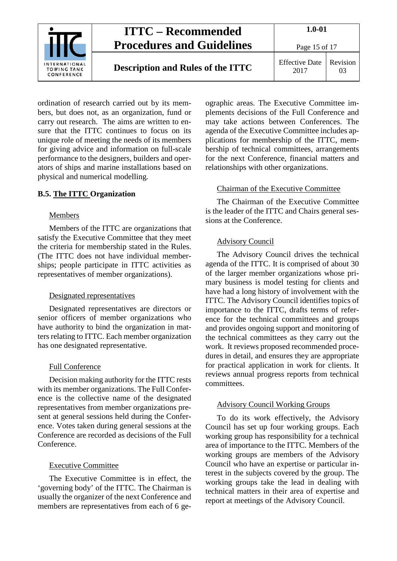

Page 15 of 17

## **Description and Rules of the ITTC** Effective Date

2017 Revision 03

ordination of research carried out by its members, but does not, as an organization, fund or carry out research. The aims are written to ensure that the ITTC continues to focus on its unique role of meeting the needs of its members for giving advice and information on full-scale performance to the designers, builders and operators of ships and marine installations based on physical and numerical modelling.

## <span id="page-14-0"></span>**B.5. The ITTC Organization**

### **Members**

Members of the ITTC are organizations that satisfy the Executive Committee that they meet the criteria for membership stated in the Rules. (The ITTC does not have individual memberships; people participate in ITTC activities as representatives of member organizations).

### Designated representatives

Designated representatives are directors or senior officers of member organizations who have authority to bind the organization in matters relating to ITTC. Each member organization has one designated representative.

### Full Conference

Decision making authority for the ITTC rests with its member organizations. The Full Conference is the collective name of the designated representatives from member organizations present at general sessions held during the Conference. Votes taken during general sessions at the Conference are recorded as decisions of the Full Conference.

### Executive Committee

The Executive Committee is in effect, the 'governing body' of the ITTC. The Chairman is usually the organizer of the next Conference and members are representatives from each of 6 geographic areas. The Executive Committee implements decisions of the Full Conference and may take actions between Conferences. The agenda of the Executive Committee includes applications for membership of the ITTC, membership of technical committees, arrangements for the next Conference, financial matters and relationships with other organizations.

### Chairman of the Executive Committee

The Chairman of the Executive Committee is the leader of the ITTC and Chairs general sessions at the Conference.

### Advisory Council

The Advisory Council drives the technical agenda of the ITTC. It is comprised of about 30 of the larger member organizations whose primary business is model testing for clients and have had a long history of involvement with the ITTC. The Advisory Council identifies topics of importance to the ITTC, drafts terms of reference for the technical committees and groups and provides ongoing support and monitoring of the technical committees as they carry out the work. It reviews proposed recommended procedures in detail, and ensures they are appropriate for practical application in work for clients. It reviews annual progress reports from technical committees.

#### Advisory Council Working Groups

To do its work effectively, the Advisory Council has set up four working groups. Each working group has responsibility for a technical area of importance to the ITTC. Members of the working groups are members of the Advisory Council who have an expertise or particular interest in the subjects covered by the group. The working groups take the lead in dealing with technical matters in their area of expertise and report at meetings of the Advisory Council.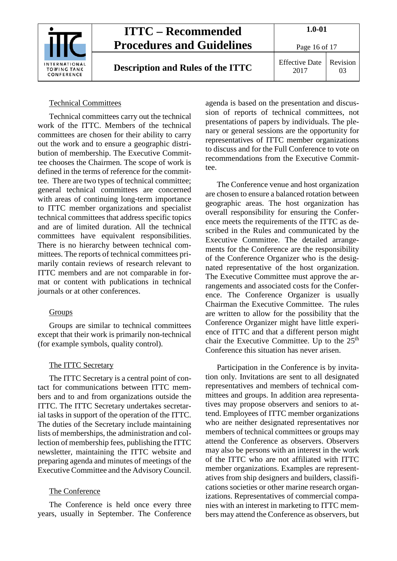

**Description and Rules of the ITTC** Effective Date

Page 16 of 17

2017 Revision 03

## Technical Committees

Technical committees carry out the technical work of the ITTC. Members of the technical committees are chosen for their ability to carry out the work and to ensure a geographic distribution of membership. The Executive Committee chooses the Chairmen. The scope of work is defined in the terms of reference for the committee. There are two types of technical committee; general technical committees are concerned with areas of continuing long-term importance to ITTC member organizations and specialist technical committees that address specific topics and are of limited duration. All the technical committees have equivalent responsibilities. There is no hierarchy between technical committees. The reports of technical committees primarily contain reviews of research relevant to ITTC members and are not comparable in format or content with publications in technical journals or at other conferences.

### Groups

Groups are similar to technical committees except that their work is primarily non-technical (for example symbols, quality control).

## The ITTC Secretary

The ITTC Secretary is a central point of contact for communications between ITTC members and to and from organizations outside the ITTC. The ITTC Secretary undertakes secretarial tasks in support of the operation of the ITTC. The duties of the Secretary include maintaining lists of memberships, the administration and collection of membership fees, publishing the ITTC newsletter, maintaining the ITTC website and preparing agenda and minutes of meetings of the Executive Committee and the Advisory Council.

## The Conference

The Conference is held once every three years, usually in September. The Conference agenda is based on the presentation and discussion of reports of technical committees, not presentations of papers by individuals. The plenary or general sessions are the opportunity for representatives of ITTC member organizations to discuss and for the Full Conference to vote on recommendations from the Executive Committee.

The Conference venue and host organization are chosen to ensure a balanced rotation between geographic areas. The host organization has overall responsibility for ensuring the Conference meets the requirements of the ITTC as described in the Rules and communicated by the Executive Committee. The detailed arrangements for the Conference are the responsibility of the Conference Organizer who is the designated representative of the host organization. The Executive Committee must approve the arrangements and associated costs for the Conference. The Conference Organizer is usually Chairman the Executive Committee. The rules are written to allow for the possibility that the Conference Organizer might have little experience of ITTC and that a different person might chair the Executive Committee. Up to the  $25<sup>th</sup>$ Conference this situation has never arisen.

Participation in the Conference is by invitation only. Invitations are sent to all designated representatives and members of technical committees and groups. In addition area representatives may propose observers and seniors to attend. Employees of ITTC member organizations who are neither designated representatives nor members of technical committees or groups may attend the Conference as observers. Observers may also be persons with an interest in the work of the ITTC who are not affiliated with ITTC member organizations. Examples are representatives from ship designers and builders, classifications societies or other marine research organizations. Representatives of commercial companies with an interest in marketing to ITTC members may attend the Conference as observers, but